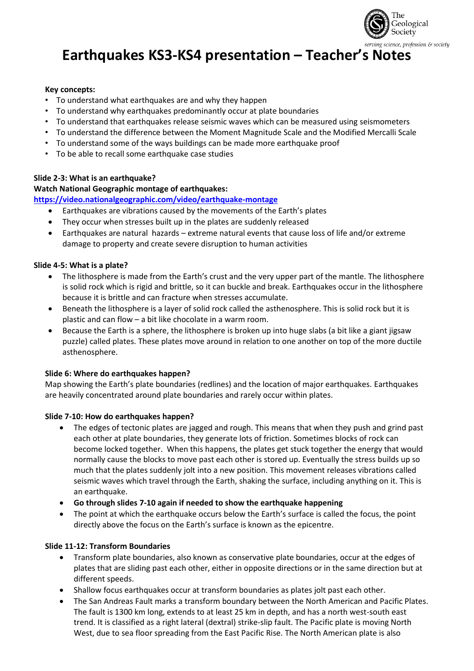

# **Earthquakes KS3-KS4 presentation – Teacher's Notes**

# **Key concepts:**

- To understand what earthquakes are and why they happen
- To understand why earthquakes predominantly occur at plate boundaries
- To understand that earthquakes release seismic waves which can be measured using seismometers
- To understand the difference between the Moment Magnitude Scale and the Modified Mercalli Scale
- To understand some of the ways buildings can be made more earthquake proof
- To be able to recall some earthquake case studies

# **Slide 2-3: What is an earthquake?**

# **Watch National Geographic montage of earthquakes:**

# **<https://video.nationalgeographic.com/video/earthquake-montage>**

- Earthquakes are vibrations caused by the movements of the Earth's plates
- They occur when stresses built up in the plates are suddenly released
- Earthquakes are natural hazards extreme natural events that cause loss of life and/or extreme damage to property and create severe disruption to human activities

# **Slide 4-5: What is a plate?**

- The lithosphere is made from the Earth's crust and the very upper part of the mantle. The lithosphere is solid rock which is rigid and brittle, so it can buckle and break. Earthquakes occur in the lithosphere because it is brittle and can fracture when stresses accumulate.
- Beneath the lithosphere is a layer of solid rock called the asthenosphere. This is solid rock but it is plastic and can flow – a bit like chocolate in a warm room.
- Because the Earth is a sphere, the lithosphere is broken up into huge slabs (a bit like a giant jigsaw puzzle) called plates. These plates move around in relation to one another on top of the more ductile asthenosphere.

## **Slide 6: Where do earthquakes happen?**

Map showing the Earth's plate boundaries (redlines) and the location of major earthquakes. Earthquakes are heavily concentrated around plate boundaries and rarely occur within plates.

## **Slide 7-10: How do earthquakes happen?**

- The edges of tectonic plates are jagged and rough. This means that when they push and grind past each other at plate boundaries, they generate lots of friction. Sometimes blocks of rock can become locked together. When this happens, the plates get stuck together the energy that would normally cause the blocks to move past each other is stored up. Eventually the stress builds up so much that the plates suddenly jolt into a new position. This movement releases vibrations called seismic waves which travel through the Earth, shaking the surface, including anything on it. This is an earthquake.
- **Go through slides 7-10 again if needed to show the earthquake happening**
- The point at which the earthquake occurs below the Earth's surface is called the focus, the point directly above the focus on the Earth's surface is known as the epicentre.

# **Slide 11-12: Transform Boundaries**

- Transform plate boundaries, also known as conservative plate boundaries, occur at the edges of plates that are sliding past each other, either in opposite directions or in the same direction but at different speeds.
- Shallow focus earthquakes occur at transform boundaries as plates jolt past each other.
- The San Andreas Fault marks a transform boundary between the North American and Pacific Plates. The fault is 1300 km long, extends to at least 25 km in depth, and has a north west-south east trend. It is classified as a right lateral (dextral) strike-slip fault. The Pacific plate is moving North West, due to sea floor spreading from the East Pacific Rise. The North American plate is also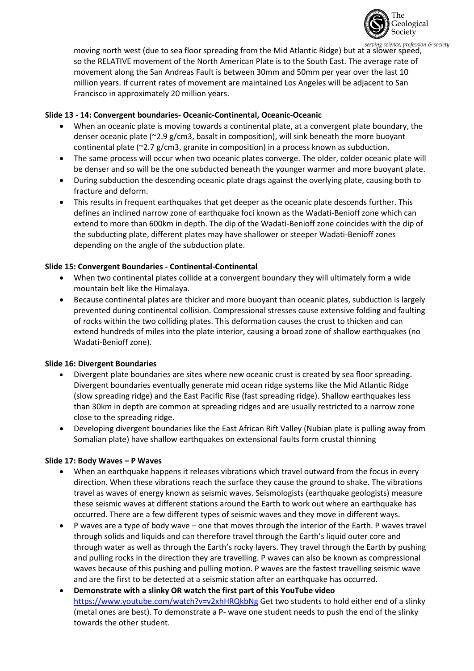

moving north west (due to sea floor spreading from the Mid Atlantic Ridge) but at a slower speed.<br>moving north west (due to sea floor spreading from the Mid Atlantic Ridge) but at a slower speed. so the RELATIVE movement of the North American Plate is to the South East. The average rate of movement along the San Andreas Fault is between 30mm and 50mm per year over the last 10 million years. If current rates of movement are maintained Los Angeles will be adjacent to San Francisco in approximately 20 million years.

## **Slide 13 - 14: Convergent boundaries- Oceanic-Continental, Oceanic-Oceanic**

- When an oceanic plate is moving towards a continental plate, at a convergent plate boundary, the denser oceanic plate (~2.9 g/cm3, basalt in composition), will sink beneath the more buoyant continental plate ( $\approx$  2.7 g/cm3, granite in composition) in a process known as subduction.
- The same process will occur when two oceanic plates converge. The older, colder oceanic plate will be denser and so will be the one subducted beneath the younger warmer and more buoyant plate.
- During subduction the descending oceanic plate drags against the overlying plate, causing both to fracture and deform.
- This results in frequent earthquakes that get deeper as the oceanic plate descends further. This defines an inclined narrow zone of earthquake foci known as the Wadati-Benioff zone which can extend to more than 600km in depth. The dip of the Wadati-Benioff zone coincides with the dip of the subducting plate, different plates may have shallower or steeper Wadati-Benioff zones depending on the angle of the subduction plate.

# **Slide 15: Convergent Boundaries - Continental-Continental**

- When two continental plates collide at a convergent boundary they will ultimately form a wide mountain belt like the Himalaya.
- Because continental plates are thicker and more buoyant than oceanic plates, subduction is largely prevented during continental collision. Compressional stresses cause extensive folding and faulting of rocks within the two colliding plates. This deformation causes the crust to thicken and can extend hundreds of miles into the plate interior, causing a broad zone of shallow earthquakes (no Wadati-Benioff zone).

## **Slide 16: Divergent Boundaries**

- Divergent plate boundaries are sites where new oceanic crust is created by sea floor spreading. Divergent boundaries eventually generate mid ocean ridge systems like the Mid Atlantic Ridge (slow spreading ridge) and the East Pacific Rise (fast spreading ridge). Shallow earthquakes less than 30km in depth are common at spreading ridges and are usually restricted to a narrow zone close to the spreading ridge.
- Developing divergent boundaries like the East African Rift Valley (Nubian plate is pulling away from Somalian plate) have shallow earthquakes on extensional faults form crustal thinning

## **Slide 17: Body Waves – P Waves**

- When an earthquake happens it releases vibrations which travel outward from the focus in every direction. When these vibrations reach the surface they cause the ground to shake. The vibrations travel as waves of energy known as seismic waves. Seismologists (earthquake geologists) measure these seismic waves at different stations around the Earth to work out where an earthquake has occurred. There are a few different types of seismic waves and they move in different ways.
- P waves are a type of body wave one that moves through the interior of the Earth. P waves travel through solids and liquids and can therefore travel through the Earth's liquid outer core and through water as well as through the Earth's rocky layers. They travel through the Earth by pushing and pulling rocks in the direction they are travelling. P waves can also be known as compressional waves because of this pushing and pulling motion. P waves are the fastest travelling seismic wave and are the first to be detected at a seismic station after an earthquake has occurred.
- **Demonstrate with a slinky OR watch the first part of this YouTube video**  <https://www.youtube.com/watch?v=v2xhHRQkbNg> Get two students to hold either end of a slinky (metal ones are best). To demonstrate a P- wave one student needs to push the end of the slinky towards the other student.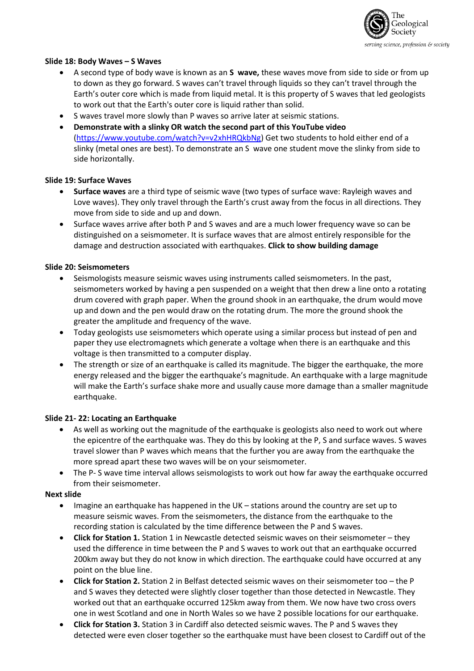

# **Slide 18: Body Waves – S Waves**

- A second type of body wave is known as an **S wave,** these waves move from side to side or from up to down as they go forward. S waves can't travel through liquids so they can't travel through the Earth's outer core which is made from liquid metal. It is this property of S waves that led geologists to work out that the Earth's outer core is liquid rather than solid.
- S waves travel more slowly than P waves so arrive later at seismic stations.
- **Demonstrate with a slinky OR watch the second part of this YouTube video** [\(https://www.youtube.com/watch?v=v2xhHRQkbNg\)](https://www.youtube.com/watch?v=v2xhHRQkbNg) Get two students to hold either end of a slinky (metal ones are best). To demonstrate an S wave one student move the slinky from side to side horizontally.

# **Slide 19: Surface Waves**

- **Surface waves** are a third type of seismic wave (two types of surface wave: Rayleigh waves and Love waves). They only travel through the Earth's crust away from the focus in all directions. They move from side to side and up and down.
- Surface waves arrive after both P and S waves and are a much lower frequency wave so can be distinguished on a seismometer. It is surface waves that are almost entirely responsible for the damage and destruction associated with earthquakes. **Click to show building damage**

# **Slide 20: Seismometers**

- Seismologists measure seismic waves using instruments called seismometers. In the past, seismometers worked by having a pen suspended on a weight that then drew a line onto a rotating drum covered with graph paper. When the ground shook in an earthquake, the drum would move up and down and the pen would draw on the rotating drum. The more the ground shook the greater the amplitude and frequency of the wave.
- Today geologists use seismometers which operate using a similar process but instead of pen and paper they use electromagnets which generate a voltage when there is an earthquake and this voltage is then transmitted to a computer display.
- The strength or size of an earthquake is called its magnitude. The bigger the earthquake, the more energy released and the bigger the earthquake's magnitude. An earthquake with a large magnitude will make the Earth's surface shake more and usually cause more damage than a smaller magnitude earthquake.

## **Slide 21- 22: Locating an Earthquake**

- As well as working out the magnitude of the earthquake is geologists also need to work out where the epicentre of the earthquake was. They do this by looking at the P, S and surface waves. S waves travel slower than P waves which means that the further you are away from the earthquake the more spread apart these two waves will be on your seismometer.
- The P- S wave time interval allows seismologists to work out how far away the earthquake occurred from their seismometer.

## **Next slide**

- Imagine an earthquake has happened in the UK stations around the country are set up to measure seismic waves. From the seismometers, the distance from the earthquake to the recording station is calculated by the time difference between the P and S waves.
- **Click for Station 1.** Station 1 in Newcastle detected seismic waves on their seismometer they used the difference in time between the P and S waves to work out that an earthquake occurred 200km away but they do not know in which direction. The earthquake could have occurred at any point on the blue line.
- **Click for Station 2.** Station 2 in Belfast detected seismic waves on their seismometer too the P and S waves they detected were slightly closer together than those detected in Newcastle. They worked out that an earthquake occurred 125km away from them. We now have two cross overs one in west Scotland and one in North Wales so we have 2 possible locations for our earthquake.
- **Click for Station 3.** Station 3 in Cardiff also detected seismic waves. The P and S waves they detected were even closer together so the earthquake must have been closest to Cardiff out of the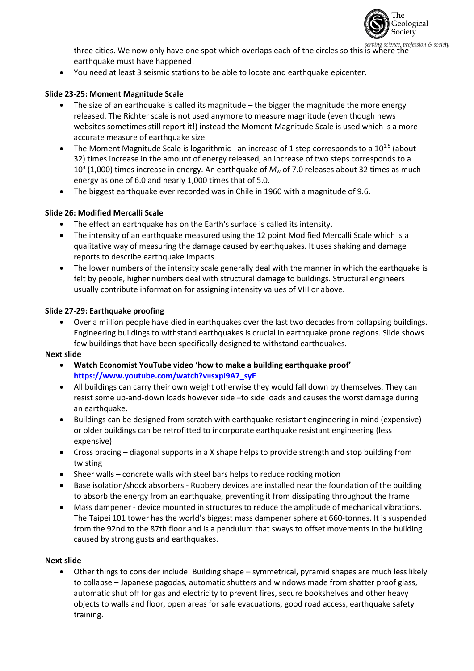

three cities. We now only have one spot which overlaps each of the circles so this is where the<br>exails where the earthquake must have happened!

• You need at least 3 seismic stations to be able to locate and earthquake epicenter.

# **Slide 23-25: Moment Magnitude Scale**

- The size of an earthquake is called its magnitude the bigger the magnitude the more energy released. The Richter scale is not used anymore to measure magnitude (even though news websites sometimes still report it!) instead the Moment Magnitude Scale is used which is a more accurate measure of earthquake size.
- The Moment Magnitude Scale is logarithmic an increase of 1 step corresponds to a  $10^{1.5}$  (about 32) times increase in the amount of energy released, an increase of two steps corresponds to a 10<sup>3</sup> (1,000) times increase in energy. An earthquake of  $M_w$  of 7.0 releases about 32 times as much energy as one of 6.0 and nearly 1,000 times that of 5.0.
- The biggest earthquake ever recorded was in Chile in 1960 with a magnitude of 9.6.

# **Slide 26: Modified Mercalli Scale**

- The effect an earthquake has on the Earth's surface is called its intensity.
- The intensity of an earthquake measured using the 12 point Modified Mercalli Scale which is a qualitative way of measuring the damage caused by earthquakes. It uses shaking and damage reports to describe earthquake impacts.
- The lower numbers of the intensity scale generally deal with the manner in which the earthquake is felt by people, higher numbers deal with structural damage to buildings. Structural engineers usually contribute information for assigning intensity values of VIII or above.

# **Slide 27-29: Earthquake proofing**

• Over a million people have died in earthquakes over the last two decades from collapsing buildings. Engineering buildings to withstand earthquakes is crucial in earthquake prone regions. Slide shows few buildings that have been specifically designed to withstand earthquakes.

## **Next slide**

- **Watch Economist YouTube video 'how to make a building earthquake proof' [https://www.youtube.com/watch?v=sxpi9A7\\_syE](https://www.youtube.com/watch?v=sxpi9A7_syE)**
- All buildings can carry their own weight otherwise they would fall down by themselves. They can resist some up-and-down loads however side –to side loads and causes the worst damage during an earthquake.
- Buildings can be designed from scratch with earthquake resistant engineering in mind (expensive) or older buildings can be retrofitted to incorporate earthquake resistant engineering (less expensive)
- Cross bracing diagonal supports in a X shape helps to provide strength and stop building from twisting
- Sheer walls concrete walls with steel bars helps to reduce rocking motion
- Base isolation/shock absorbers Rubbery devices are installed near the foundation of the building to absorb the energy from an earthquake, preventing it from dissipating throughout the frame
- Mass dampener device mounted in structures to reduce the amplitude of mechanical vibrations. The Taipei 101 tower has the world's biggest mass dampener sphere at 660-tonnes. It is suspended from the 92nd to the 87th floor and is a pendulum that sways to offset movements in the building caused by strong gusts and earthquakes.

## **Next slide**

• Other things to consider include: Building shape – symmetrical, pyramid shapes are much less likely to collapse – Japanese pagodas, automatic shutters and windows made from shatter proof glass, automatic shut off for gas and electricity to prevent fires, secure bookshelves and other heavy objects to walls and floor, open areas for safe evacuations, good road access, earthquake safety training.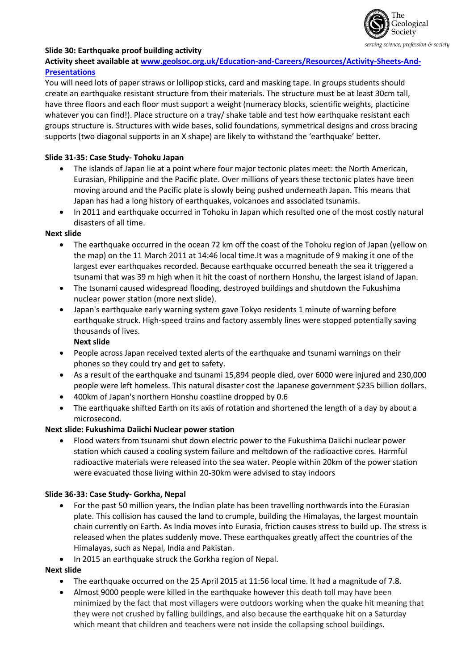

# **Slide 30: Earthquake proof building activity**

# **Activity sheet available at [www.geolsoc.org.uk/Education-and-Careers/Resources/Activity-Sheets-And-](http://www.geolsoc.org.uk/Education-and-Careers/Resources/Activity-Sheets-And-Presentations)[Presentations](http://www.geolsoc.org.uk/Education-and-Careers/Resources/Activity-Sheets-And-Presentations)**

You will need lots of paper straws or lollipop sticks, card and masking tape. In groups students should create an earthquake resistant structure from their materials. The structure must be at least 30cm tall, have three floors and each floor must support a weight (numeracy blocks, scientific weights, placticine whatever you can find!). Place structure on a tray/ shake table and test how earthquake resistant each groups structure is. Structures with wide bases, solid foundations, symmetrical designs and cross bracing supports (two diagonal supports in an X shape) are likely to withstand the 'earthquake' better.

# **Slide 31-35: Case Study- Tohoku Japan**

- The islands of Japan lie at a point where four major tectonic plates meet: the North American, Eurasian, Philippine and the Pacific plate. Over millions of years these tectonic plates have been moving around and the Pacific plate is slowly being pushed underneath Japan. This means that Japan has had a long history of earthquakes, volcanoes and associated tsunamis.
- In 2011 and earthquake occurred in Tohoku in Japan which resulted one of the most costly natural disasters of all time.

#### **Next slide**

- The earthquake occurred in the ocean 72 km off the coast of the Tohoku region of Japan (yellow on the map) on the 11 March 2011 at 14:46 local time.It was a magnitude of 9 making it one of the largest ever earthquakes recorded. Because earthquake occurred beneath the sea it triggered a tsunami that was 39 m high when it hit the coast of northern Honshu, the largest island of Japan.
- The tsunami caused widespread flooding, destroyed buildings and shutdown the Fukushima nuclear power station (more next slide).
- Japan's earthquake early warning system gave Tokyo residents 1 minute of warning before earthquake struck. High-speed trains and factory assembly lines were stopped potentially saving thousands of lives.

**Next slide**

- People across Japan received texted alerts of the earthquake and tsunami warnings on their phones so they could try and get to safety.
- As a result of the earthquake and tsunami 15,894 people died, over 6000 were injured and 230,000 people were left homeless. This natural disaster cost the Japanese government \$235 billion dollars.
- 400km of Japan's northern Honshu coastline dropped by 0.6
- The earthquake shifted Earth on its axis of rotation and shortened the length of a day by about a microsecond.

# **Next slide: Fukushima Daiichi Nuclear power station**

• Flood waters from tsunami shut down electric power to the Fukushima Daiichi nuclear power station which caused a cooling system failure and meltdown of the radioactive cores. Harmful radioactive materials were released into the sea water. People within 20km of the power station were evacuated those living within 20-30km were advised to stay indoors

## **Slide 36-33: Case Study- Gorkha, Nepal**

- For the past 50 million years, the Indian plate has been travelling northwards into the Eurasian plate. This collision has caused the land to crumple, building the Himalayas, the largest mountain chain currently on Earth. As India moves into Eurasia, friction causes stress to build up. The stress is released when the plates suddenly move. These earthquakes greatly affect the countries of the Himalayas, such as Nepal, India and Pakistan.
- In 2015 an earthquake struck the Gorkha region of Nepal.

## **Next slide**

- The earthquake occurred on the 25 April 2015 at 11:56 local time. It had a magnitude of 7.8.
- Almost 9000 people were killed in the earthquake however this death toll may have been minimized by the fact that most villagers were outdoors working when the quake hit meaning that they were not crushed by falling buildings, and also because the earthquake hit on a Saturday which meant that children and teachers were not inside the collapsing school buildings.